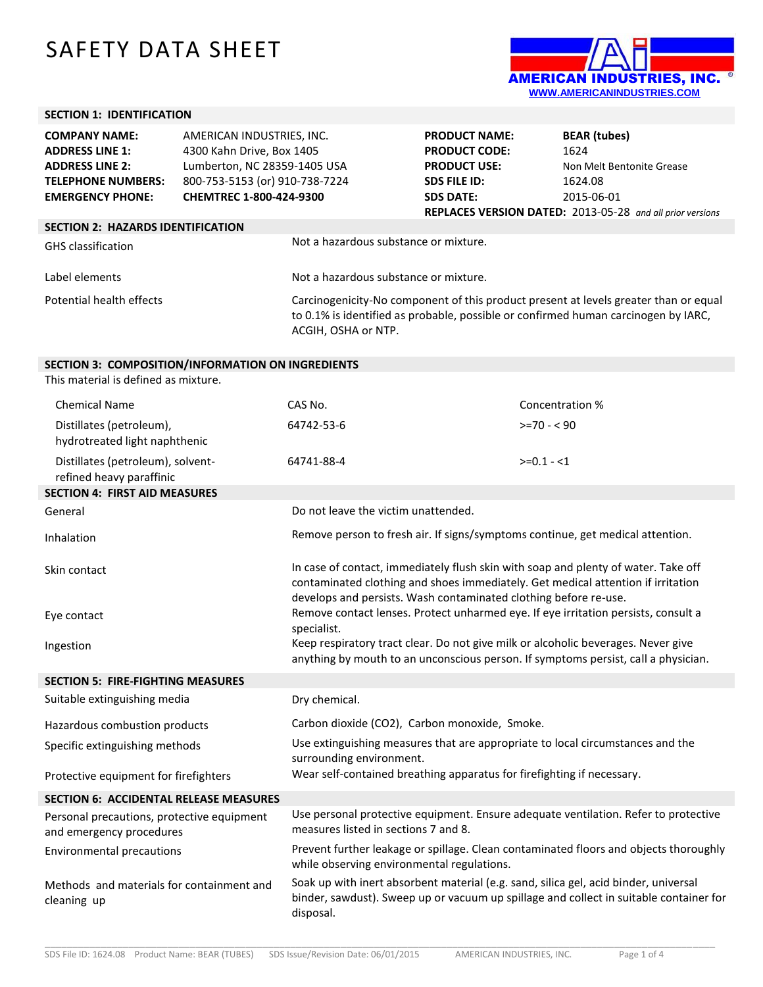## SAFETY DATA SHEET



## **SECTION 1: IDENTIFICATION**

| <b>COMPANY NAME:</b>                     | AMERICAN INDUSTRIES, INC.      |                                                                                                                                                                                                   | <b>PRODUCT NAME:</b> | <b>BEAR</b> (tubes)                                              |
|------------------------------------------|--------------------------------|---------------------------------------------------------------------------------------------------------------------------------------------------------------------------------------------------|----------------------|------------------------------------------------------------------|
| <b>ADDRESS LINE 1:</b>                   | 4300 Kahn Drive, Box 1405      |                                                                                                                                                                                                   | <b>PRODUCT CODE:</b> | 1624                                                             |
| <b>ADDRESS LINE 2:</b>                   | Lumberton, NC 28359-1405 USA   |                                                                                                                                                                                                   | <b>PRODUCT USE:</b>  | Non Melt Bentonite Grease                                        |
| <b>TELEPHONE NUMBERS:</b>                | 800-753-5153 (or) 910-738-7224 |                                                                                                                                                                                                   | <b>SDS FILE ID:</b>  | 1624.08                                                          |
| <b>EMERGENCY PHONE:</b>                  | CHEMTREC 1-800-424-9300        |                                                                                                                                                                                                   | <b>SDS DATE:</b>     | 2015-06-01                                                       |
|                                          |                                |                                                                                                                                                                                                   |                      | <b>REPLACES VERSION DATED:</b> 2013-05-28 and all prior versions |
| <b>SECTION 2: HAZARDS IDENTIFICATION</b> |                                |                                                                                                                                                                                                   |                      |                                                                  |
| <b>GHS</b> classification                |                                | Not a hazardous substance or mixture.                                                                                                                                                             |                      |                                                                  |
| Label elements                           |                                | Not a hazardous substance or mixture.                                                                                                                                                             |                      |                                                                  |
| Potential health effects                 |                                | Carcinogenicity-No component of this product present at levels greater than or equal<br>to 0.1% is identified as probable, possible or confirmed human carcinogen by IARC,<br>ACGIH, OSHA or NTP. |                      |                                                                  |

## **SECTION 3: COMPOSITION/INFORMATION ON INGREDIENTS**

This material is defined as mixture.

| <b>Chemical Name</b>                                                   | CAS No.                                                                                                                                                                                                                                    | Concentration % |  |
|------------------------------------------------------------------------|--------------------------------------------------------------------------------------------------------------------------------------------------------------------------------------------------------------------------------------------|-----------------|--|
| Distillates (petroleum),<br>hydrotreated light naphthenic              | 64742-53-6                                                                                                                                                                                                                                 | $>=70 - 90$     |  |
| Distillates (petroleum), solvent-<br>refined heavy paraffinic          | 64741-88-4                                                                                                                                                                                                                                 | $>=0.1 - 1$     |  |
| <b>SECTION 4: FIRST AID MEASURES</b>                                   |                                                                                                                                                                                                                                            |                 |  |
| General                                                                | Do not leave the victim unattended.                                                                                                                                                                                                        |                 |  |
| Inhalation                                                             | Remove person to fresh air. If signs/symptoms continue, get medical attention.                                                                                                                                                             |                 |  |
| Skin contact                                                           | In case of contact, immediately flush skin with soap and plenty of water. Take off<br>contaminated clothing and shoes immediately. Get medical attention if irritation<br>develops and persists. Wash contaminated clothing before re-use. |                 |  |
| Eye contact                                                            | Remove contact lenses. Protect unharmed eye. If eye irritation persists, consult a<br>specialist.                                                                                                                                          |                 |  |
| Ingestion                                                              | Keep respiratory tract clear. Do not give milk or alcoholic beverages. Never give<br>anything by mouth to an unconscious person. If symptoms persist, call a physician.                                                                    |                 |  |
| <b>SECTION 5: FIRE-FIGHTING MEASURES</b>                               |                                                                                                                                                                                                                                            |                 |  |
| Suitable extinguishing media                                           | Dry chemical.                                                                                                                                                                                                                              |                 |  |
| Hazardous combustion products                                          | Carbon dioxide (CO2), Carbon monoxide, Smoke.                                                                                                                                                                                              |                 |  |
| Specific extinguishing methods                                         | Use extinguishing measures that are appropriate to local circumstances and the<br>surrounding environment.                                                                                                                                 |                 |  |
| Protective equipment for firefighters                                  | Wear self-contained breathing apparatus for firefighting if necessary.                                                                                                                                                                     |                 |  |
| <b>SECTION 6: ACCIDENTAL RELEASE MEASURES</b>                          |                                                                                                                                                                                                                                            |                 |  |
| Personal precautions, protective equipment<br>and emergency procedures | Use personal protective equipment. Ensure adequate ventilation. Refer to protective<br>measures listed in sections 7 and 8.                                                                                                                |                 |  |
| <b>Environmental precautions</b>                                       | Prevent further leakage or spillage. Clean contaminated floors and objects thoroughly<br>while observing environmental regulations.                                                                                                        |                 |  |
| Methods and materials for containment and<br>cleaning up               | Soak up with inert absorbent material (e.g. sand, silica gel, acid binder, universal<br>binder, sawdust). Sweep up or vacuum up spillage and collect in suitable container for<br>disposal.                                                |                 |  |

\_\_\_\_\_\_\_\_\_\_\_\_\_\_\_\_\_\_\_\_\_\_\_\_\_\_\_\_\_\_\_\_\_\_\_\_\_\_\_\_\_\_\_\_\_\_\_\_\_\_\_\_\_\_\_\_\_\_\_\_\_\_\_\_\_\_\_\_\_\_\_\_\_\_\_\_\_\_\_\_\_\_\_\_\_\_\_\_\_\_\_\_\_\_\_\_\_\_\_\_\_\_\_\_\_\_\_\_\_\_\_\_\_\_\_\_\_\_\_\_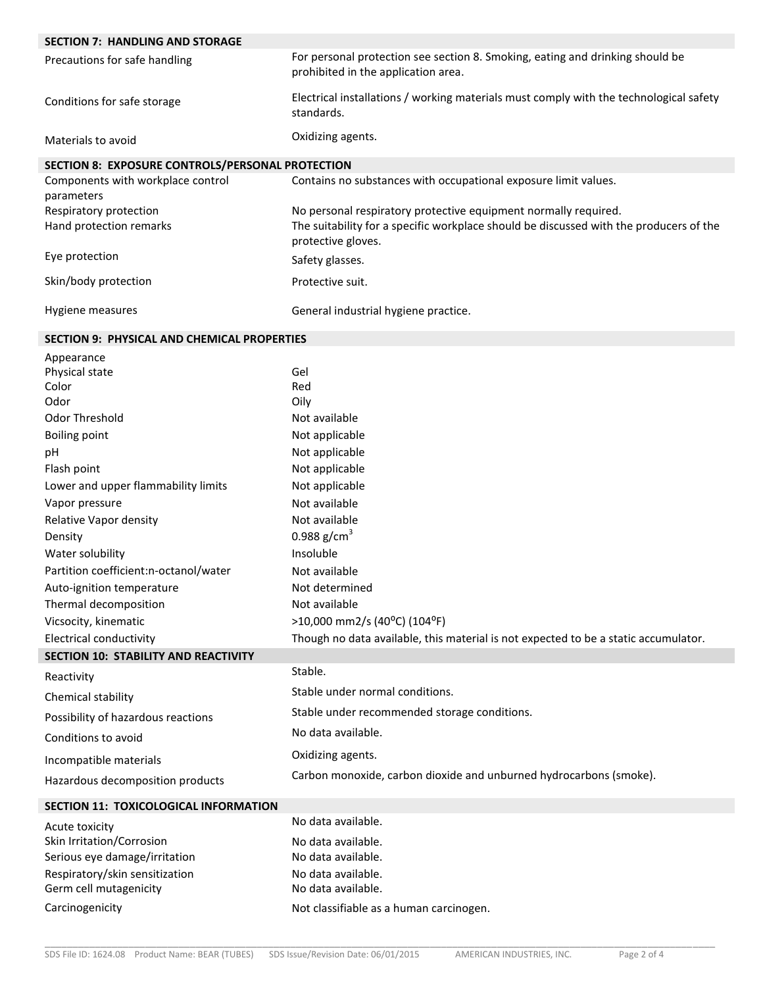| <b>SECTION 7: HANDLING AND STORAGE</b>             |                                                                                                                      |  |  |  |  |
|----------------------------------------------------|----------------------------------------------------------------------------------------------------------------------|--|--|--|--|
| Precautions for safe handling                      | For personal protection see section 8. Smoking, eating and drinking should be<br>prohibited in the application area. |  |  |  |  |
| Conditions for safe storage                        | Electrical installations / working materials must comply with the technological safety<br>standards.                 |  |  |  |  |
| Materials to avoid                                 | Oxidizing agents.                                                                                                    |  |  |  |  |
| SECTION 8: EXPOSURE CONTROLS/PERSONAL PROTECTION   |                                                                                                                      |  |  |  |  |
| Components with workplace control<br>parameters    | Contains no substances with occupational exposure limit values.                                                      |  |  |  |  |
| Respiratory protection                             | No personal respiratory protective equipment normally required.                                                      |  |  |  |  |
| Hand protection remarks                            | The suitability for a specific workplace should be discussed with the producers of the<br>protective gloves.         |  |  |  |  |
| Eye protection                                     | Safety glasses.                                                                                                      |  |  |  |  |
| Skin/body protection                               | Protective suit.                                                                                                     |  |  |  |  |
| Hygiene measures                                   | General industrial hygiene practice.                                                                                 |  |  |  |  |
| <b>SECTION 9: PHYSICAL AND CHEMICAL PROPERTIES</b> |                                                                                                                      |  |  |  |  |
| Appearance                                         |                                                                                                                      |  |  |  |  |
| Physical state                                     | Gel                                                                                                                  |  |  |  |  |
| Color                                              | Red                                                                                                                  |  |  |  |  |
| Odor                                               | Oily                                                                                                                 |  |  |  |  |
| Odor Threshold                                     | Not available                                                                                                        |  |  |  |  |
| <b>Boiling point</b>                               | Not applicable                                                                                                       |  |  |  |  |
| pH                                                 | Not applicable                                                                                                       |  |  |  |  |
| Flash point                                        | Not applicable                                                                                                       |  |  |  |  |
| Lower and upper flammability limits                | Not applicable                                                                                                       |  |  |  |  |
| Vapor pressure                                     | Not available                                                                                                        |  |  |  |  |
| Relative Vapor density                             | Not available                                                                                                        |  |  |  |  |
| Density                                            | 0.988 $g/cm^{3}$                                                                                                     |  |  |  |  |
| Water solubility                                   | Insoluble                                                                                                            |  |  |  |  |
| Partition coefficient:n-octanol/water              | Not available<br>Not determined                                                                                      |  |  |  |  |
| Auto-ignition temperature<br>Thermal decomposition | Not available                                                                                                        |  |  |  |  |
| Vicsocity, kinematic                               | >10,000 mm2/s (40°C) (104°F)                                                                                         |  |  |  |  |
| <b>Electrical conductivity</b>                     | Though no data available, this material is not expected to be a static accumulator.                                  |  |  |  |  |
| <b>SECTION 10: STABILITY AND REACTIVITY</b>        |                                                                                                                      |  |  |  |  |
|                                                    | Stable.                                                                                                              |  |  |  |  |
| Reactivity<br>Chemical stability                   | Stable under normal conditions.                                                                                      |  |  |  |  |
| Possibility of hazardous reactions                 | Stable under recommended storage conditions.                                                                         |  |  |  |  |
| Conditions to avoid                                | No data available.                                                                                                   |  |  |  |  |
| Incompatible materials                             | Oxidizing agents.                                                                                                    |  |  |  |  |
| Hazardous decomposition products                   | Carbon monoxide, carbon dioxide and unburned hydrocarbons (smoke).                                                   |  |  |  |  |
| SECTION 11: TOXICOLOGICAL INFORMATION              |                                                                                                                      |  |  |  |  |
| Acute toxicity                                     | No data available.                                                                                                   |  |  |  |  |
| Skin Irritation/Corrosion                          | No data available.                                                                                                   |  |  |  |  |
| Serious eye damage/irritation                      | No data available.                                                                                                   |  |  |  |  |
| Respiratory/skin sensitization                     | No data available.                                                                                                   |  |  |  |  |
| Germ cell mutagenicity                             | No data available.                                                                                                   |  |  |  |  |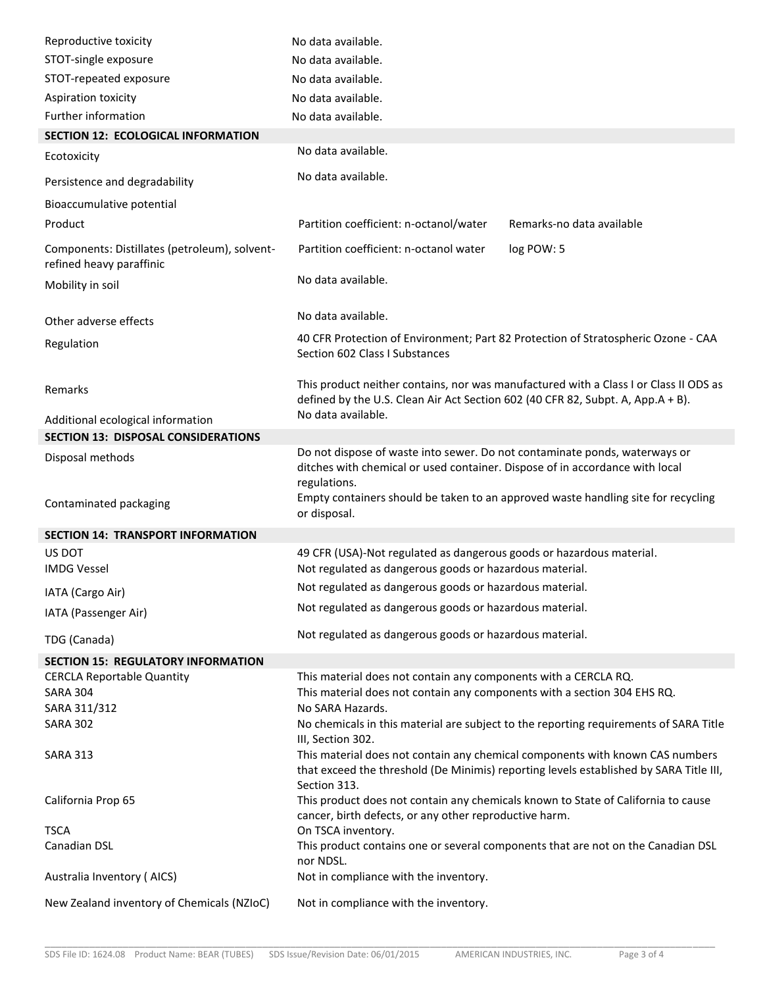| Reproductive toxicity                                                     | No data available.                                                                                                                                                                      |  |  |  |
|---------------------------------------------------------------------------|-----------------------------------------------------------------------------------------------------------------------------------------------------------------------------------------|--|--|--|
| STOT-single exposure                                                      | No data available.                                                                                                                                                                      |  |  |  |
| STOT-repeated exposure                                                    | No data available.                                                                                                                                                                      |  |  |  |
| Aspiration toxicity                                                       | No data available.                                                                                                                                                                      |  |  |  |
| Further information                                                       | No data available.                                                                                                                                                                      |  |  |  |
| SECTION 12: ECOLOGICAL INFORMATION                                        |                                                                                                                                                                                         |  |  |  |
| Ecotoxicity                                                               | No data available.                                                                                                                                                                      |  |  |  |
| Persistence and degradability                                             | No data available.                                                                                                                                                                      |  |  |  |
| Bioaccumulative potential                                                 |                                                                                                                                                                                         |  |  |  |
| Product                                                                   | Partition coefficient: n-octanol/water<br>Remarks-no data available                                                                                                                     |  |  |  |
| Components: Distillates (petroleum), solvent-<br>refined heavy paraffinic | Partition coefficient: n-octanol water<br>log POW: 5                                                                                                                                    |  |  |  |
| Mobility in soil                                                          | No data available.                                                                                                                                                                      |  |  |  |
| Other adverse effects                                                     | No data available.                                                                                                                                                                      |  |  |  |
| Regulation                                                                | 40 CFR Protection of Environment; Part 82 Protection of Stratospheric Ozone - CAA<br>Section 602 Class I Substances                                                                     |  |  |  |
| Remarks                                                                   | This product neither contains, nor was manufactured with a Class I or Class II ODS as<br>defined by the U.S. Clean Air Act Section 602 (40 CFR 82, Subpt. A, App.A + B).                |  |  |  |
| Additional ecological information                                         | No data available.                                                                                                                                                                      |  |  |  |
| <b>SECTION 13: DISPOSAL CONSIDERATIONS</b>                                |                                                                                                                                                                                         |  |  |  |
| Disposal methods                                                          | Do not dispose of waste into sewer. Do not contaminate ponds, waterways or<br>ditches with chemical or used container. Dispose of in accordance with local<br>regulations.              |  |  |  |
| Contaminated packaging                                                    | Empty containers should be taken to an approved waste handling site for recycling<br>or disposal.                                                                                       |  |  |  |
| <b>SECTION 14: TRANSPORT INFORMATION</b>                                  |                                                                                                                                                                                         |  |  |  |
| US DOT<br><b>IMDG Vessel</b>                                              | 49 CFR (USA)-Not regulated as dangerous goods or hazardous material.<br>Not regulated as dangerous goods or hazardous material.                                                         |  |  |  |
| IATA (Cargo Air)                                                          | Not regulated as dangerous goods or hazardous material.                                                                                                                                 |  |  |  |
| IATA (Passenger Air)                                                      | Not regulated as dangerous goods or hazardous material.                                                                                                                                 |  |  |  |
| TDG (Canada)                                                              | Not regulated as dangerous goods or hazardous material.                                                                                                                                 |  |  |  |
| <b>SECTION 15: REGULATORY INFORMATION</b>                                 |                                                                                                                                                                                         |  |  |  |
| <b>CERCLA Reportable Quantity</b>                                         | This material does not contain any components with a CERCLA RQ.                                                                                                                         |  |  |  |
| <b>SARA 304</b>                                                           | This material does not contain any components with a section 304 EHS RQ.                                                                                                                |  |  |  |
| SARA 311/312                                                              | No SARA Hazards.                                                                                                                                                                        |  |  |  |
| <b>SARA 302</b>                                                           | No chemicals in this material are subject to the reporting requirements of SARA Title<br>III, Section 302.                                                                              |  |  |  |
| <b>SARA 313</b>                                                           | This material does not contain any chemical components with known CAS numbers<br>that exceed the threshold (De Minimis) reporting levels established by SARA Title III,<br>Section 313. |  |  |  |
| California Prop 65                                                        | This product does not contain any chemicals known to State of California to cause<br>cancer, birth defects, or any other reproductive harm.                                             |  |  |  |
| <b>TSCA</b>                                                               | On TSCA inventory.                                                                                                                                                                      |  |  |  |
| Canadian DSL                                                              | This product contains one or several components that are not on the Canadian DSL<br>nor NDSL.                                                                                           |  |  |  |
| Australia Inventory (AICS)                                                | Not in compliance with the inventory.                                                                                                                                                   |  |  |  |
| New Zealand inventory of Chemicals (NZIoC)                                | Not in compliance with the inventory.                                                                                                                                                   |  |  |  |